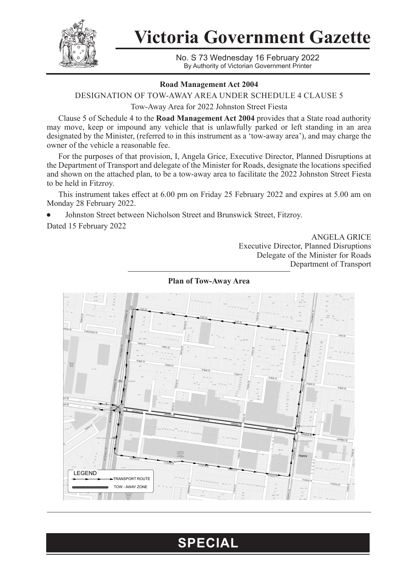

**Victoria Government Gazette**

No. S 73 Wednesday 16 February 2022 By Authority of Victorian Government Printer

## **Road Management Act 2004**

DESIGNATION OF TOW-AWAY AREA UNDER SCHEDULE 4 CLAUSE 5

Tow-Away Area for 2022 Johnston Street Fiesta

Clause 5 of Schedule 4 to the **Road Management Act 2004** provides that a State road authority may move, keep or impound any vehicle that is unlawfully parked or left standing in an area designated by the Minister, (referred to in this instrument as a 'tow-away area'), and may charge the owner of the vehicle a reasonable fee.

For the purposes of that provision, I, Angela Grice, Executive Director, Planned Disruptions at the Department of Transport and delegate of the Minister for Roads, designate the locations specified and shown on the attached plan, to be a tow-away area to facilitate the 2022 Johnston Street Fiesta to be held in Fitzroy.

This instrument takes effect at 6.00 pm on Friday 25 February 2022 and expires at 5.00 am on Monday 28 February 2022.

Johnston Street between Nicholson Street and Brunswick Street, Fitzroy.

Dated 15 February 2022

ANGELA GRICE Executive Director, Planned Disruptions Delegate of the Minister for Roads Department of Transport



**Plan of Tow-Away Area**

## **SPECIAL**